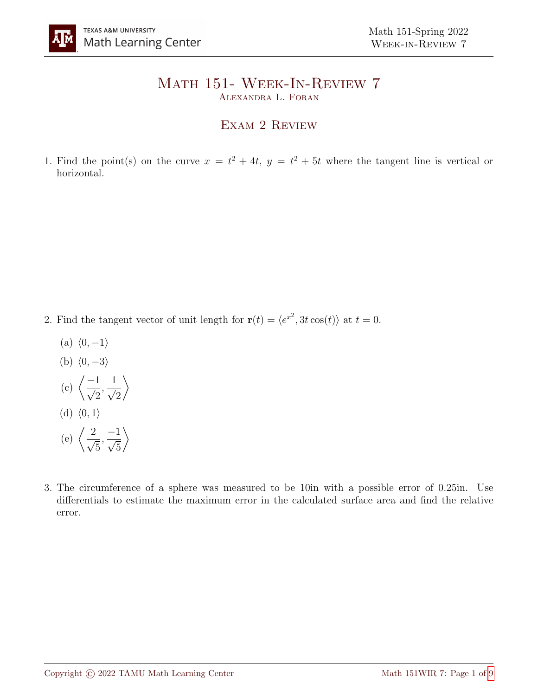## Math 151- Week-In-Review 7 Alexandra L. Foran

## EXAM 2 REVIEW

1. Find the point(s) on the curve  $x = t^2 + 4t$ ,  $y = t^2 + 5t$  where the tangent line is vertical or horizontal.

- 2. Find the tangent vector of unit length for  $\mathbf{r}(t) = \langle e^{x^2}, 3t \cos(t) \rangle$  at  $t = 0$ .
	- (a)  $\langle 0, -1 \rangle$
	- (b)  $\langle 0, -3 \rangle$
	- $(c)$   $\left\langle \frac{-1}{\sqrt{2}}\right\rangle$ 2 ,  $\frac{1}{\sqrt{2}}$ 2  $\setminus$ (d)  $\langle 0, 1 \rangle$
	- (e)  $\left\langle \frac{2}{\epsilon} \right\rangle$ 5 ,  $\frac{-1}{\sqrt{2}}$ 5  $\setminus$
- 3. The circumference of a sphere was measured to be 10in with a possible error of 0.25in. Use differentials to estimate the maximum error in the calculated surface area and find the relative error.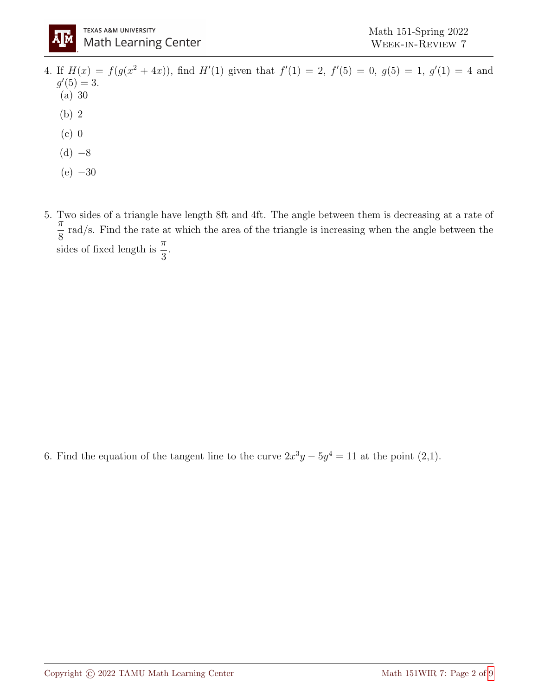

- 4. If  $H(x) = f(g(x^2 + 4x))$ , find  $H'(1)$  given that  $f'(1) = 2$ ,  $f'(5) = 0$ ,  $g(5) = 1$ ,  $g'(1) = 4$  and  $g'(5) = 3.$ (a) 30 (b) 2 (c) 0
	- $(d) -8$
	- $(e) -30$
- 5. Two sides of a triangle have length 8ft and 4ft. The angle between them is decreasing at a rate of  $\frac{1}{\pi}$ 8 rad/s. Find the rate at which the area of the triangle is increasing when the angle between the sides of fixed length is  $\frac{\pi}{2}$ 3 .

6. Find the equation of the tangent line to the curve  $2x^3y - 5y^4 = 11$  at the point (2,1).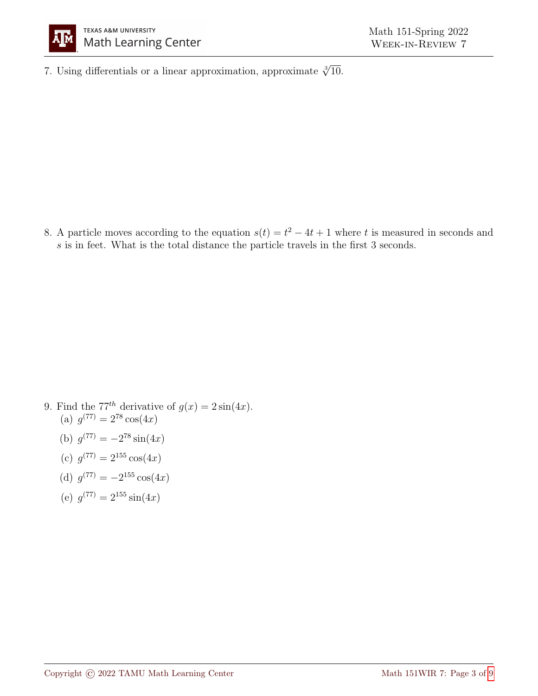

7. Using differentials or a linear approximation, approximate  $\sqrt[3]{10}$ .

8. A particle moves according to the equation  $s(t) = t^2 - 4t + 1$  where t is measured in seconds and s is in feet. What is the total distance the particle travels in the first 3 seconds.

- 9. Find the 77<sup>th</sup> derivative of  $g(x) = 2\sin(4x)$ . (a)  $g^{(77)} = 2^{78} \cos(4x)$ 
	- (b)  $g^{(77)} = -2^{78} \sin(4x)$
	- (c)  $g^{(77)} = 2^{155} \cos(4x)$
	- (d)  $g^{(77)} = -2^{155} \cos(4x)$
	- (e)  $g^{(77)} = 2^{155} \sin(4x)$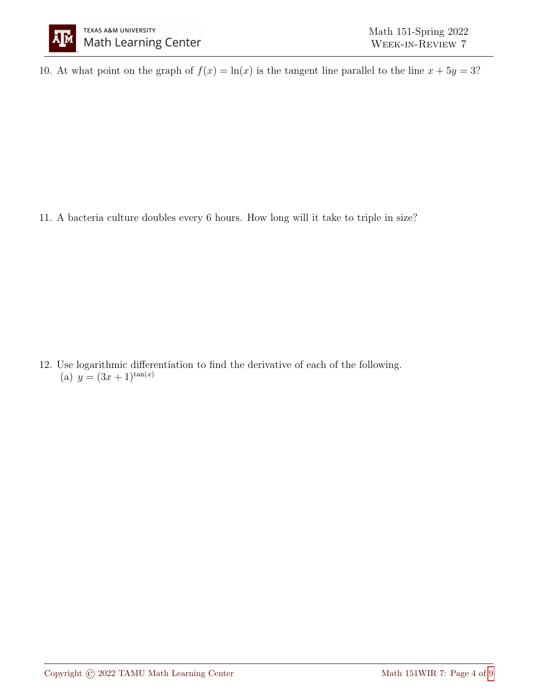10. At what point on the graph of  $f(x) = \ln(x)$  is the tangent line parallel to the line  $x + 5y = 3$ ?

11. A bacteria culture doubles every 6 hours. How long will it take to triple in size?

12. Use logarithmic differentiation to find the derivative of each of the following. (a)  $y = (3x+1)^{\tan(x)}$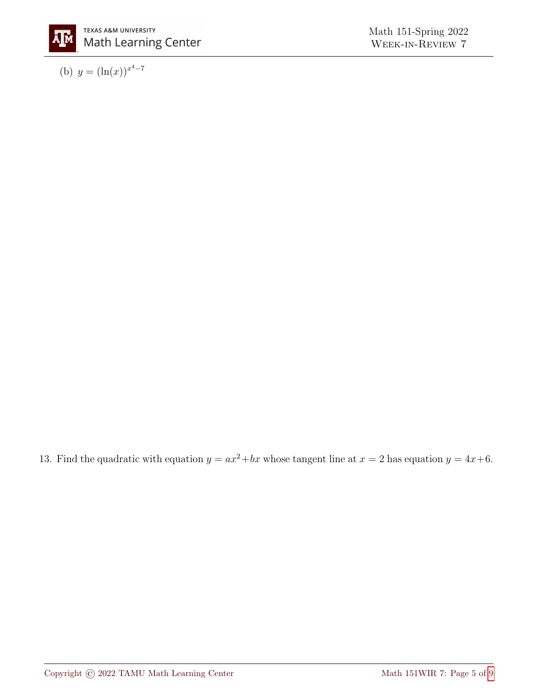

(b)  $y = (\ln(x))^{x^4 - 7}$ 

13. Find the quadratic with equation  $y = ax^2 + bx$  whose tangent line at  $x = 2$  has equation  $y = 4x+6$ .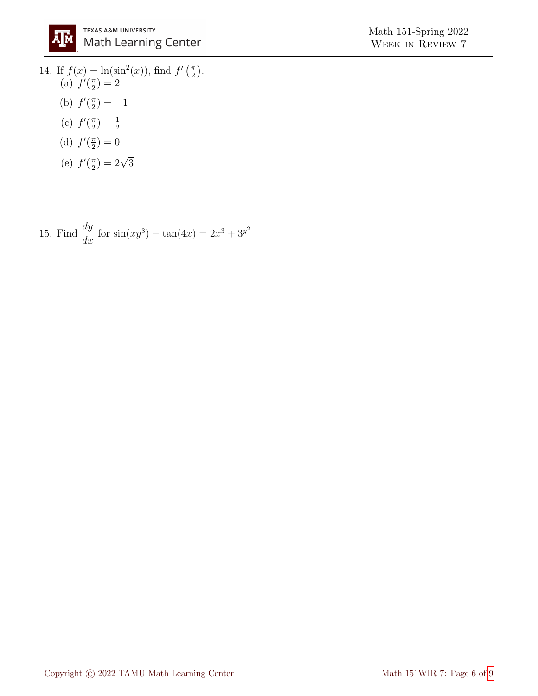14. If  $f(x) = \ln(\sin^2(x))$ , find  $f'(\frac{\pi}{2})$  $\frac{\pi}{2}$ . (a)  $f'(\frac{\pi}{2})$  $\frac{\pi}{2})=2$ (b)  $f'(\frac{\pi}{2})$  $(\frac{\pi}{2}) = -1$ (c)  $f'(\frac{\pi}{2})$  $\frac{\pi}{2})=\frac{1}{2}$ 

(d) 
$$
f'(\frac{\pi}{2}) = 0
$$

(e) 
$$
f'(\frac{\pi}{2}) = 2\sqrt{3}
$$

15. Find 
$$
\frac{dy}{dx}
$$
 for  $\sin(xy^3) - \tan(4x) = 2x^3 + 3y^2$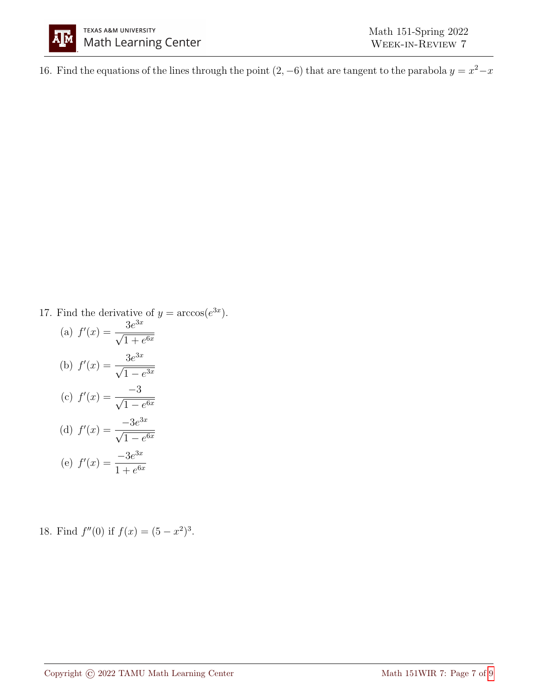

16. Find the equations of the lines through the point  $(2, -6)$  that are tangent to the parabola  $y = x^2 - x$ 

17. Find the derivative of  $y = \arccos(e^{3x})$ .

(a) 
$$
f'(x) = \frac{3e^{3x}}{\sqrt{1 + e^{6x}}}
$$
  
\n(b)  $f'(x) = \frac{3e^{3x}}{\sqrt{1 - e^{3x}}}$   
\n(c)  $f'(x) = \frac{-3}{\sqrt{1 - e^{6x}}}$   
\n(d)  $f'(x) = \frac{-3e^{3x}}{\sqrt{1 - e^{6x}}}$   
\n(e)  $f'(x) = \frac{-3e^{3x}}{1 + e^{6x}}$ 

18. Find  $f''(0)$  if  $f(x) = (5 - x^2)^3$ .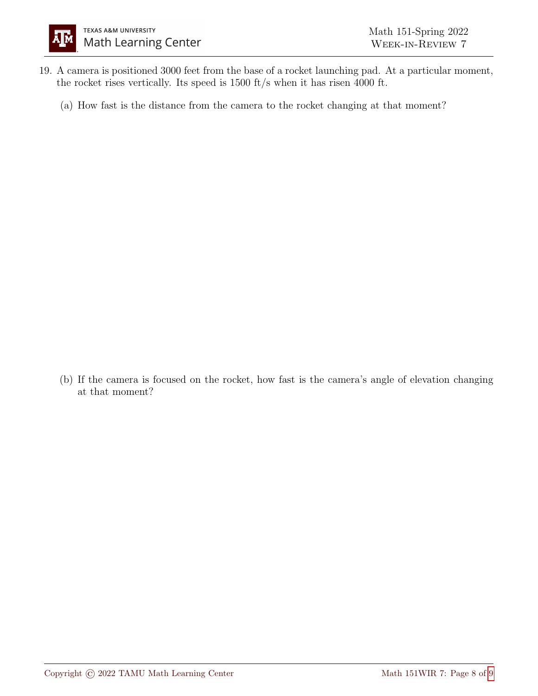- 19. A camera is positioned 3000 feet from the base of a rocket launching pad. At a particular moment, the rocket rises vertically. Its speed is 1500 ft/s when it has risen 4000 ft.
	- (a) How fast is the distance from the camera to the rocket changing at that moment?

(b) If the camera is focused on the rocket, how fast is the camera's angle of elevation changing at that moment?